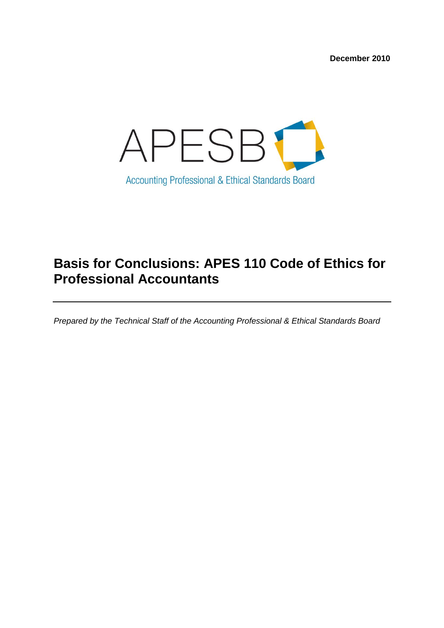**December 2010**



# **Basis for Conclusions: APES 110 Code of Ethics for Professional Accountants**

*Prepared by the Technical Staff of the Accounting Professional & Ethical Standards Board*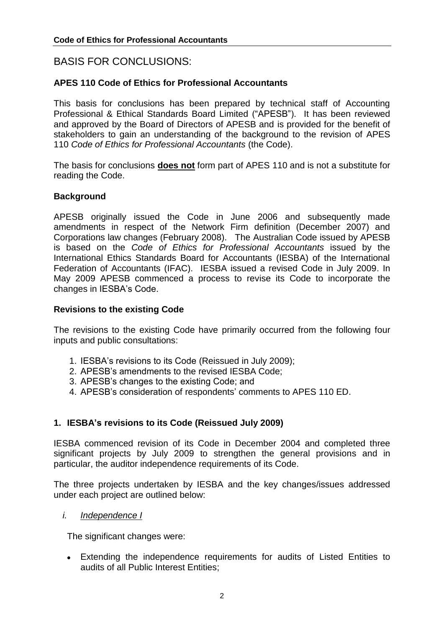# BASIS FOR CONCLUSIONS:

## **APES 110 Code of Ethics for Professional Accountants**

This basis for conclusions has been prepared by technical staff of Accounting Professional & Ethical Standards Board Limited ("APESB"). It has been reviewed and approved by the Board of Directors of APESB and is provided for the benefit of stakeholders to gain an understanding of the background to the revision of APES 110 *Code of Ethics for Professional Accountants* (the Code).

The basis for conclusions **does not** form part of APES 110 and is not a substitute for reading the Code.

#### **Background**

APESB originally issued the Code in June 2006 and subsequently made amendments in respect of the Network Firm definition (December 2007) and Corporations law changes (February 2008). The Australian Code issued by APESB is based on the *Code of Ethics for Professional Accountants* issued by the International Ethics Standards Board for Accountants (IESBA) of the International Federation of Accountants (IFAC). IESBA issued a revised Code in July 2009. In May 2009 APESB commenced a process to revise its Code to incorporate the changes in IESBA's Code.

#### **Revisions to the existing Code**

The revisions to the existing Code have primarily occurred from the following four inputs and public consultations:

- 1. IESBA's revisions to its Code (Reissued in July 2009);
- 2. APESB's amendments to the revised IESBA Code;
- 3. APESB's changes to the existing Code; and
- 4. APESB's consideration of respondents' comments to APES 110 ED.

## **1. IESBA's revisions to its Code (Reissued July 2009)**

IESBA commenced revision of its Code in December 2004 and completed three significant projects by July 2009 to strengthen the general provisions and in particular, the auditor independence requirements of its Code.

The three projects undertaken by IESBA and the key changes/issues addressed under each project are outlined below:

#### *i. Independence I*

The significant changes were:

Extending the independence requirements for audits of Listed Entities to audits of all Public Interest Entities;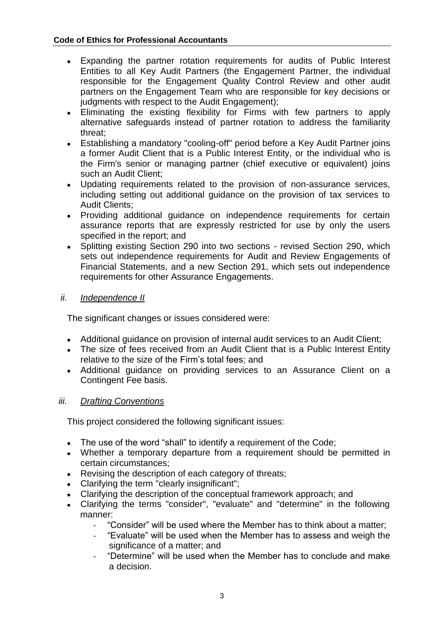- $\bullet$ Expanding the partner rotation requirements for audits of Public Interest Entities to all Key Audit Partners (the Engagement Partner, the individual responsible for the Engagement Quality Control Review and other audit partners on the Engagement Team who are responsible for key decisions or judgments with respect to the Audit Engagement);
- Eliminating the existing flexibility for Firms with few partners to apply alternative safeguards instead of partner rotation to address the familiarity threat;
- Establishing a mandatory "cooling-off" period before a Key Audit Partner joins a former Audit Client that is a Public Interest Entity, or the individual who is the Firm's senior or managing partner (chief executive or equivalent) joins such an Audit Client;
- Updating requirements related to the provision of non-assurance services,  $\bullet$ including setting out additional guidance on the provision of tax services to Audit Clients;
- Providing additional guidance on independence requirements for certain assurance reports that are expressly restricted for use by only the users specified in the report; and
- Splitting existing Section 290 into two sections revised Section 290, which  $\bullet$ sets out independence requirements for Audit and Review Engagements of Financial Statements, and a new Section 291, which sets out independence requirements for other Assurance Engagements.

## *ii. Independence II*

The significant changes or issues considered were:

- Additional guidance on provision of internal audit services to an Audit Client;
- The size of fees received from an Audit Client that is a Public Interest Entity relative to the size of the Firm's total fees; and
- Additional guidance on providing services to an Assurance Client on a Contingent Fee basis.

## *iii. Drafting Conventions*

This project considered the following significant issues:

- The use of the word "shall" to identify a requirement of the Code;
- Whether a temporary departure from a requirement should be permitted in certain circumstances;
- Revising the description of each category of threats;
- Clarifying the term "clearly insignificant";
- Clarifying the description of the conceptual framework approach; and  $\bullet$
- Clarifying the terms "consider", "evaluate" and "determine" in the following  $\bullet$ manner:
	- "Consider" will be used where the Member has to think about a matter;
	- "Evaluate" will be used when the Member has to assess and weigh the significance of a matter; and
	- "Determine" will be used when the Member has to conclude and make a decision.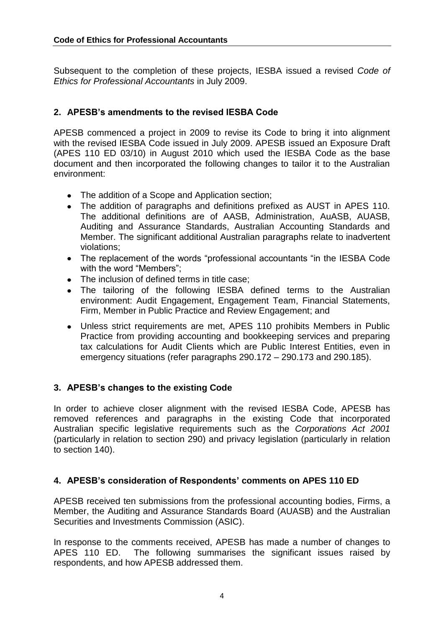Subsequent to the completion of these projects, IESBA issued a revised *Code of Ethics for Professional Accountants* in July 2009.

# **2. APESB's amendments to the revised IESBA Code**

APESB commenced a project in 2009 to revise its Code to bring it into alignment with the revised IESBA Code issued in July 2009. APESB issued an Exposure Draft (APES 110 ED 03/10) in August 2010 which used the IESBA Code as the base document and then incorporated the following changes to tailor it to the Australian environment:

- The addition of a Scope and Application section;
- The addition of paragraphs and definitions prefixed as AUST in APES 110. The additional definitions are of AASB, Administration, AuASB, AUASB, Auditing and Assurance Standards, Australian Accounting Standards and Member. The significant additional Australian paragraphs relate to inadvertent violations;
- The replacement of the words "professional accountants "in the IESBA Code with the word "Members";
- The inclusion of defined terms in title case;
- The tailoring of the following IESBA defined terms to the Australian environment: Audit Engagement, Engagement Team, Financial Statements, Firm, Member in Public Practice and Review Engagement; and
- Unless strict requirements are met, APES 110 prohibits Members in Public Practice from providing accounting and bookkeeping services and preparing tax calculations for Audit Clients which are Public Interest Entities, even in emergency situations (refer paragraphs 290.172 – 290.173 and 290.185).

# **3. APESB's changes to the existing Code**

In order to achieve closer alignment with the revised IESBA Code, APESB has removed references and paragraphs in the existing Code that incorporated Australian specific legislative requirements such as the *Corporations Act 2001* (particularly in relation to section 290) and privacy legislation (particularly in relation to section 140).

# **4. APESB's consideration of Respondents' comments on APES 110 ED**

APESB received ten submissions from the professional accounting bodies, Firms, a Member, the Auditing and Assurance Standards Board (AUASB) and the Australian Securities and Investments Commission (ASIC).

In response to the comments received, APESB has made a number of changes to APES 110 ED. The following summarises the significant issues raised by respondents, and how APESB addressed them.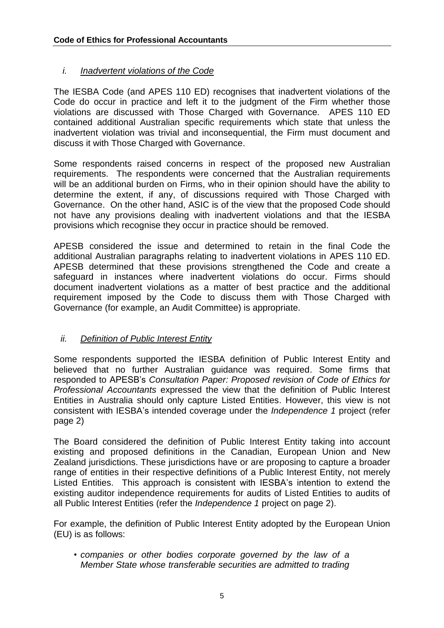# *i. Inadvertent violations of the Code*

The IESBA Code (and APES 110 ED) recognises that inadvertent violations of the Code do occur in practice and left it to the judgment of the Firm whether those violations are discussed with Those Charged with Governance. APES 110 ED contained additional Australian specific requirements which state that unless the inadvertent violation was trivial and inconsequential, the Firm must document and discuss it with Those Charged with Governance.

Some respondents raised concerns in respect of the proposed new Australian requirements. The respondents were concerned that the Australian requirements will be an additional burden on Firms, who in their opinion should have the ability to determine the extent, if any, of discussions required with Those Charged with Governance. On the other hand, ASIC is of the view that the proposed Code should not have any provisions dealing with inadvertent violations and that the IESBA provisions which recognise they occur in practice should be removed.

APESB considered the issue and determined to retain in the final Code the additional Australian paragraphs relating to inadvertent violations in APES 110 ED. APESB determined that these provisions strengthened the Code and create a safeguard in instances where inadvertent violations do occur. Firms should document inadvertent violations as a matter of best practice and the additional requirement imposed by the Code to discuss them with Those Charged with Governance (for example, an Audit Committee) is appropriate.

## *ii. Definition of Public Interest Entity*

Some respondents supported the IESBA definition of Public Interest Entity and believed that no further Australian guidance was required. Some firms that responded to APESB's *Consultation Paper: Proposed revision of Code of Ethics for Professional Accountants* expressed the view that the definition of Public Interest Entities in Australia should only capture Listed Entities. However, this view is not consistent with IESBA's intended coverage under the *Independence 1* project (refer page 2)

The Board considered the definition of Public Interest Entity taking into account existing and proposed definitions in the Canadian, European Union and New Zealand jurisdictions. These jurisdictions have or are proposing to capture a broader range of entities in their respective definitions of a Public Interest Entity, not merely Listed Entities. This approach is consistent with IESBA's intention to extend the existing auditor independence requirements for audits of Listed Entities to audits of all Public Interest Entities (refer the *Independence 1* project on page 2).

For example, the definition of Public Interest Entity adopted by the European Union (EU) is as follows:

*• companies or other bodies corporate governed by the law of a Member State whose transferable securities are admitted to trading*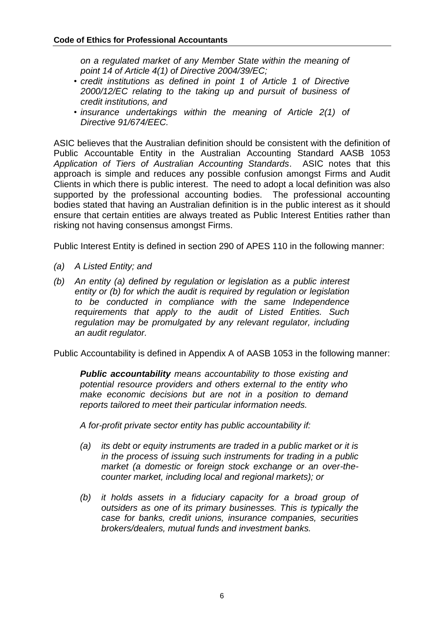*on a regulated market of any Member State within the meaning of point 14 of Article 4(1) of Directive 2004/39/EC;*

- *credit institutions as defined in point 1 of Article 1 of Directive 2000/12/EC relating to the taking up and pursuit of business of credit institutions, and*
- *insurance undertakings within the meaning of Article 2(1) of Directive 91/674/EEC.*

ASIC believes that the Australian definition should be consistent with the definition of Public Accountable Entity in the Australian Accounting Standard AASB 1053 *Application of Tiers of Australian Accounting Standards*. ASIC notes that this approach is simple and reduces any possible confusion amongst Firms and Audit Clients in which there is public interest. The need to adopt a local definition was also supported by the professional accounting bodies. The professional accounting bodies stated that having an Australian definition is in the public interest as it should ensure that certain entities are always treated as Public Interest Entities rather than risking not having consensus amongst Firms.

Public Interest Entity is defined in section 290 of APES 110 in the following manner:

- *(a) A Listed Entity; and*
- *(b) An entity (a) defined by regulation or legislation as a public interest entity or (b) for which the audit is required by regulation or legislation to be conducted in compliance with the same Independence requirements that apply to the audit of Listed Entities. Such regulation may be promulgated by any relevant regulator, including an audit regulator.*

Public Accountability is defined in Appendix A of AASB 1053 in the following manner:

*Public accountability means accountability to those existing and potential resource providers and others external to the entity who make economic decisions but are not in a position to demand reports tailored to meet their particular information needs.*

*A for-profit private sector entity has public accountability if:*

- *(a) its debt or equity instruments are traded in a public market or it is in the process of issuing such instruments for trading in a public market (a domestic or foreign stock exchange or an over-thecounter market, including local and regional markets); or*
- *(b) it holds assets in a fiduciary capacity for a broad group of outsiders as one of its primary businesses. This is typically the case for banks, credit unions, insurance companies, securities brokers/dealers, mutual funds and investment banks.*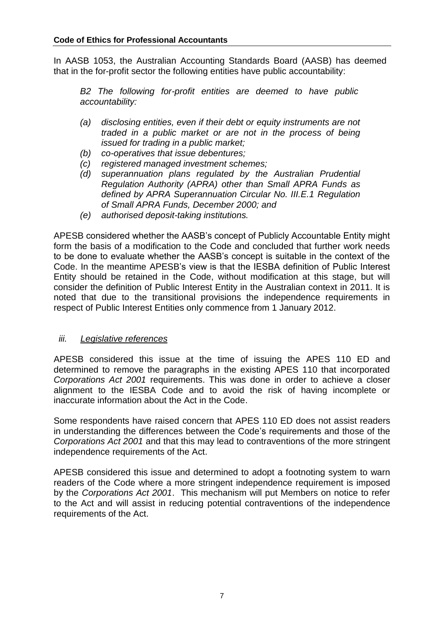In AASB 1053, the Australian Accounting Standards Board (AASB) has deemed that in the for-profit sector the following entities have public accountability:

*B2 The following for-profit entities are deemed to have public accountability:*

- *(a) disclosing entities, even if their debt or equity instruments are not traded in a public market or are not in the process of being issued for trading in a public market;*
- *(b) co-operatives that issue debentures;*
- *(c) registered managed investment schemes;*
- *(d) superannuation plans regulated by the Australian Prudential Regulation Authority (APRA) other than Small APRA Funds as defined by APRA Superannuation Circular No. III.E.1 Regulation of Small APRA Funds, December 2000; and*
- *(e) authorised deposit-taking institutions.*

APESB considered whether the AASB's concept of Publicly Accountable Entity might form the basis of a modification to the Code and concluded that further work needs to be done to evaluate whether the AASB's concept is suitable in the context of the Code. In the meantime APESB's view is that the IESBA definition of Public Interest Entity should be retained in the Code, without modification at this stage, but will consider the definition of Public Interest Entity in the Australian context in 2011. It is noted that due to the transitional provisions the independence requirements in respect of Public Interest Entities only commence from 1 January 2012.

#### *iii. Legislative references*

APESB considered this issue at the time of issuing the APES 110 ED and determined to remove the paragraphs in the existing APES 110 that incorporated *Corporations Act 2001* requirements. This was done in order to achieve a closer alignment to the IESBA Code and to avoid the risk of having incomplete or inaccurate information about the Act in the Code.

Some respondents have raised concern that APES 110 ED does not assist readers in understanding the differences between the Code's requirements and those of the *Corporations Act 2001* and that this may lead to contraventions of the more stringent independence requirements of the Act.

APESB considered this issue and determined to adopt a footnoting system to warn readers of the Code where a more stringent independence requirement is imposed by the *Corporations Act 2001*. This mechanism will put Members on notice to refer to the Act and will assist in reducing potential contraventions of the independence requirements of the Act.